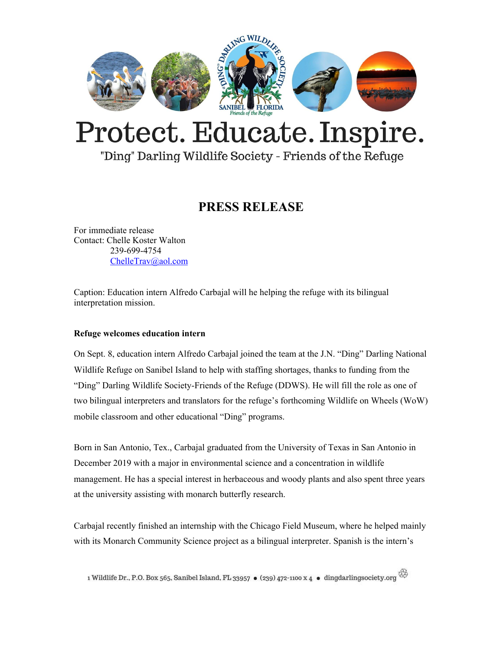

## Protect. Educate. Inspire.

"Ding" Darling Wildlife Society - Friends of the Refuge

## **PRESS RELEASE**

For immediate release Contact: Chelle Koster Walton 239-699-4754 [ChelleTrav@aol.com](mailto:ChelleTrav@aol.com)

Caption: Education intern Alfredo Carbajal will he helping the refuge with its bilingual interpretation mission.

## **Refuge welcomes education intern**

On Sept. 8, education intern Alfredo Carbajal joined the team at the J.N. "Ding" Darling National Wildlife Refuge on Sanibel Island to help with staffing shortages, thanks to funding from the "Ding" Darling Wildlife Society-Friends of the Refuge (DDWS). He will fill the role as one of two bilingual interpreters and translators for the refuge's forthcoming Wildlife on Wheels (WoW) mobile classroom and other educational "Ding" programs.

Born in San Antonio, Tex., Carbajal graduated from the University of Texas in San Antonio in December 2019 with a major in environmental science and a concentration in wildlife management. He has a special interest in herbaceous and woody plants and also spent three years at the university assisting with monarch butterfly research.

Carbajal recently finished an internship with the Chicago Field Museum, where he helped mainly with its Monarch Community Science project as a bilingual interpreter. Spanish is the intern's

1 Wildlife Dr., P.O. Box 565, Sanibel Island, FL 33957 • (239) 472-1100 x 4 • dingdarlingsociety.org